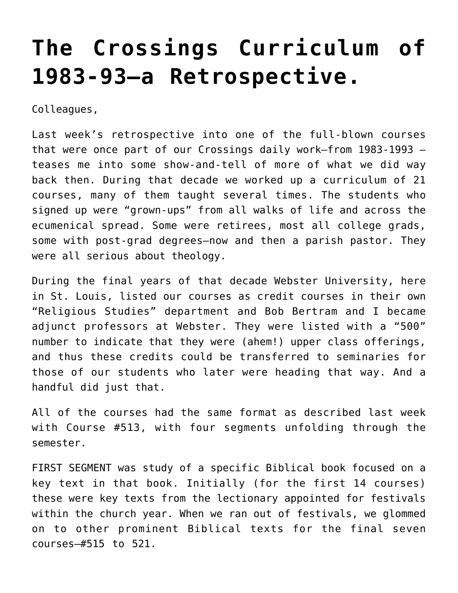## **[The Crossings Curriculum of](https://crossings.org/the-crossings-curriculum-of-1983-93-a-retrospective/) [1983-93–a Retrospective.](https://crossings.org/the-crossings-curriculum-of-1983-93-a-retrospective/)**

Colleagues,

Last week's retrospective into one of the full-blown courses that were once part of our Crossings daily work–from 1983-1993 teases me into some show-and-tell of more of what we did way back then. During that decade we worked up a curriculum of 21 courses, many of them taught several times. The students who signed up were "grown-ups" from all walks of life and across the ecumenical spread. Some were retirees, most all college grads, some with post-grad degrees–now and then a parish pastor. They were all serious about theology.

During the final years of that decade Webster University, here in St. Louis, listed our courses as credit courses in their own "Religious Studies" department and Bob Bertram and I became adjunct professors at Webster. They were listed with a "500" number to indicate that they were (ahem!) upper class offerings, and thus these credits could be transferred to seminaries for those of our students who later were heading that way. And a handful did just that.

All of the courses had the same format as described last week with Course #513, with four segments unfolding through the semester.

FIRST SEGMENT was study of a specific Biblical book focused on a key text in that book. Initially (for the first 14 courses) these were key texts from the lectionary appointed for festivals within the church year. When we ran out of festivals, we glommed on to other prominent Biblical texts for the final seven courses–#515 to 521.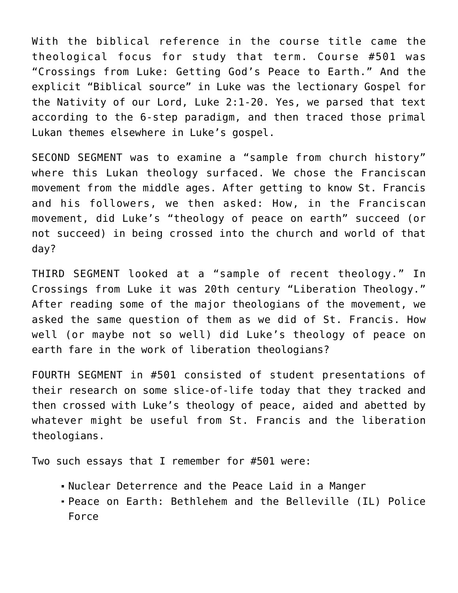With the biblical reference in the course title came the theological focus for study that term. Course #501 was "Crossings from Luke: Getting God's Peace to Earth." And the explicit "Biblical source" in Luke was the lectionary Gospel for the Nativity of our Lord, Luke 2:1-20. Yes, we parsed that text according to the 6-step paradigm, and then traced those primal Lukan themes elsewhere in Luke's gospel.

SECOND SEGMENT was to examine a "sample from church history" where this Lukan theology surfaced. We chose the Franciscan movement from the middle ages. After getting to know St. Francis and his followers, we then asked: How, in the Franciscan movement, did Luke's "theology of peace on earth" succeed (or not succeed) in being crossed into the church and world of that day?

THIRD SEGMENT looked at a "sample of recent theology." In Crossings from Luke it was 20th century "Liberation Theology." After reading some of the major theologians of the movement, we asked the same question of them as we did of St. Francis. How well (or maybe not so well) did Luke's theology of peace on earth fare in the work of liberation theologians?

FOURTH SEGMENT in #501 consisted of student presentations of their research on some slice-of-life today that they tracked and then crossed with Luke's theology of peace, aided and abetted by whatever might be useful from St. Francis and the liberation theologians.

Two such essays that I remember for #501 were:

- Nuclear Deterrence and the Peace Laid in a Manger
- Peace on Earth: Bethlehem and the Belleville (IL) Police Force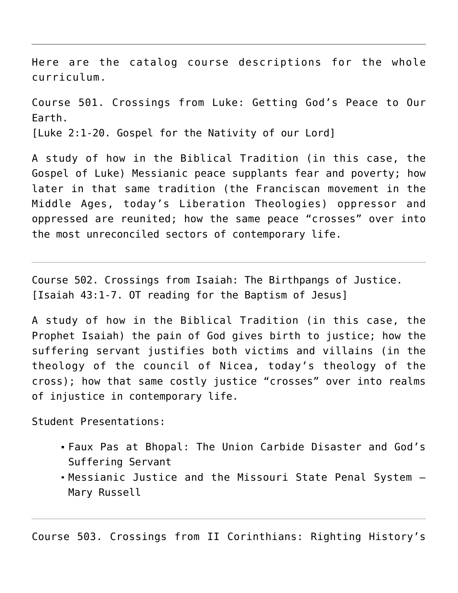Here are the catalog course descriptions for the whole curriculum.

Course 501. Crossings from Luke: Getting God's Peace to Our Earth. [Luke 2:1-20. Gospel for the Nativity of our Lord]

A study of how in the Biblical Tradition (in this case, the Gospel of Luke) Messianic peace supplants fear and poverty; how later in that same tradition (the Franciscan movement in the Middle Ages, today's Liberation Theologies) oppressor and oppressed are reunited; how the same peace "crosses" over into the most unreconciled sectors of contemporary life.

Course 502. Crossings from Isaiah: The Birthpangs of Justice. [Isaiah 43:1-7. OT reading for the Baptism of Jesus]

A study of how in the Biblical Tradition (in this case, the Prophet Isaiah) the pain of God gives birth to justice; how the suffering servant justifies both victims and villains (in the theology of the council of Nicea, today's theology of the cross); how that same costly justice "crosses" over into realms of injustice in contemporary life.

Student Presentations:

- Faux Pas at Bhopal: The Union Carbide Disaster and God's Suffering Servant
- Messianic Justice and the Missouri State Penal System Mary Russell

Course 503. Crossings from II Corinthians: Righting History's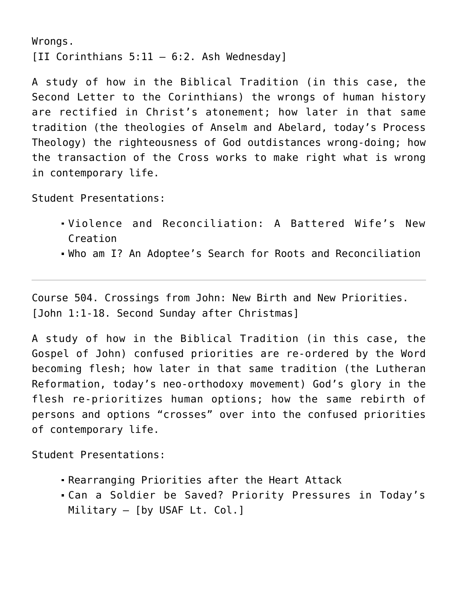Wrongs.

[II Corinthians  $5:11 - 6:2$ . Ash Wednesday]

A study of how in the Biblical Tradition (in this case, the Second Letter to the Corinthians) the wrongs of human history are rectified in Christ's atonement; how later in that same tradition (the theologies of Anselm and Abelard, today's Process Theology) the righteousness of God outdistances wrong-doing; how the transaction of the Cross works to make right what is wrong in contemporary life.

Student Presentations:

- Violence and Reconciliation: A Battered Wife's New Creation
- Who am I? An Adoptee's Search for Roots and Reconciliation

Course 504. Crossings from John: New Birth and New Priorities. [John 1:1-18. Second Sunday after Christmas]

A study of how in the Biblical Tradition (in this case, the Gospel of John) confused priorities are re-ordered by the Word becoming flesh; how later in that same tradition (the Lutheran Reformation, today's neo-orthodoxy movement) God's glory in the flesh re-prioritizes human options; how the same rebirth of persons and options "crosses" over into the confused priorities of contemporary life.

Student Presentations:

- Rearranging Priorities after the Heart Attack
- Can a Soldier be Saved? Priority Pressures in Today's Military – [by USAF Lt. Col.]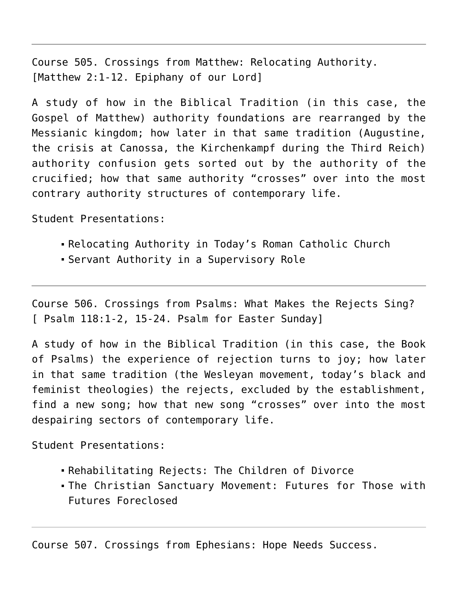Course 505. Crossings from Matthew: Relocating Authority. [Matthew 2:1-12. Epiphany of our Lord]

A study of how in the Biblical Tradition (in this case, the Gospel of Matthew) authority foundations are rearranged by the Messianic kingdom; how later in that same tradition (Augustine, the crisis at Canossa, the Kirchenkampf during the Third Reich) authority confusion gets sorted out by the authority of the crucified; how that same authority "crosses" over into the most contrary authority structures of contemporary life.

Student Presentations:

- Relocating Authority in Today's Roman Catholic Church
- Servant Authority in a Supervisory Role

Course 506. Crossings from Psalms: What Makes the Rejects Sing? [ Psalm 118:1-2, 15-24. Psalm for Easter Sunday]

A study of how in the Biblical Tradition (in this case, the Book of Psalms) the experience of rejection turns to joy; how later in that same tradition (the Wesleyan movement, today's black and feminist theologies) the rejects, excluded by the establishment, find a new song; how that new song "crosses" over into the most despairing sectors of contemporary life.

Student Presentations:

- Rehabilitating Rejects: The Children of Divorce
- The Christian Sanctuary Movement: Futures for Those with Futures Foreclosed

Course 507. Crossings from Ephesians: Hope Needs Success.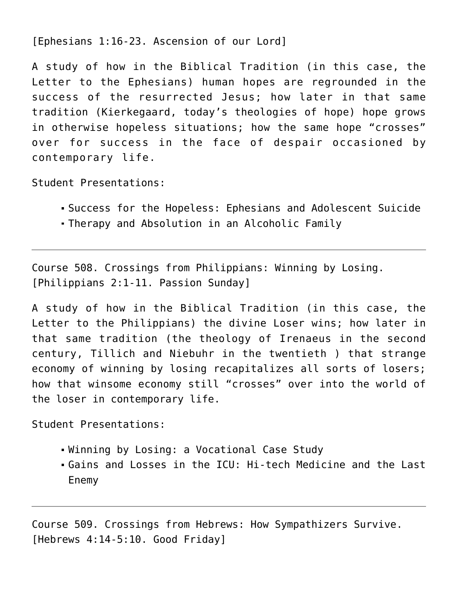[Ephesians 1:16-23. Ascension of our Lord]

A study of how in the Biblical Tradition (in this case, the Letter to the Ephesians) human hopes are regrounded in the success of the resurrected Jesus; how later in that same tradition (Kierkegaard, today's theologies of hope) hope grows in otherwise hopeless situations; how the same hope "crosses" over for success in the face of despair occasioned by contemporary life.

Student Presentations:

- Success for the Hopeless: Ephesians and Adolescent Suicide
- Therapy and Absolution in an Alcoholic Family

Course 508. Crossings from Philippians: Winning by Losing. [Philippians 2:1-11. Passion Sunday]

A study of how in the Biblical Tradition (in this case, the Letter to the Philippians) the divine Loser wins; how later in that same tradition (the theology of Irenaeus in the second century, Tillich and Niebuhr in the twentieth ) that strange economy of winning by losing recapitalizes all sorts of losers; how that winsome economy still "crosses" over into the world of the loser in contemporary life.

Student Presentations:

- Winning by Losing: a Vocational Case Study
- Gains and Losses in the ICU: Hi-tech Medicine and the Last Enemy

Course 509. Crossings from Hebrews: How Sympathizers Survive. [Hebrews 4:14-5:10. Good Friday]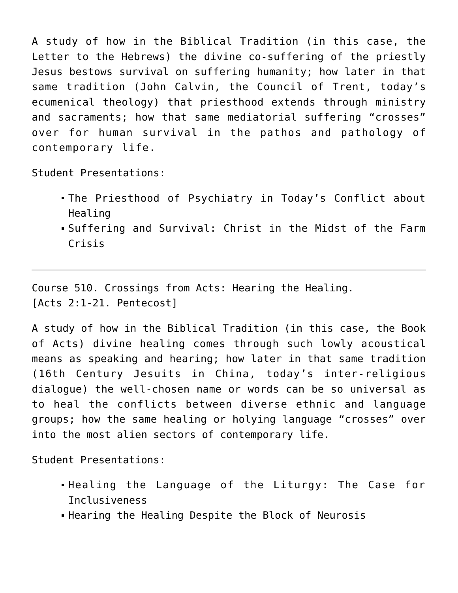A study of how in the Biblical Tradition (in this case, the Letter to the Hebrews) the divine co-suffering of the priestly Jesus bestows survival on suffering humanity; how later in that same tradition (John Calvin, the Council of Trent, today's ecumenical theology) that priesthood extends through ministry and sacraments; how that same mediatorial suffering "crosses" over for human survival in the pathos and pathology of contemporary life.

Student Presentations:

- The Priesthood of Psychiatry in Today's Conflict about Healing
- Suffering and Survival: Christ in the Midst of the Farm Crisis

Course 510. Crossings from Acts: Hearing the Healing. [Acts 2:1-21. Pentecost]

A study of how in the Biblical Tradition (in this case, the Book of Acts) divine healing comes through such lowly acoustical means as speaking and hearing; how later in that same tradition (16th Century Jesuits in China, today's inter-religious dialogue) the well-chosen name or words can be so universal as to heal the conflicts between diverse ethnic and language groups; how the same healing or holying language "crosses" over into the most alien sectors of contemporary life.

Student Presentations:

- Healing the Language of the Liturgy: The Case for Inclusiveness
- Hearing the Healing Despite the Block of Neurosis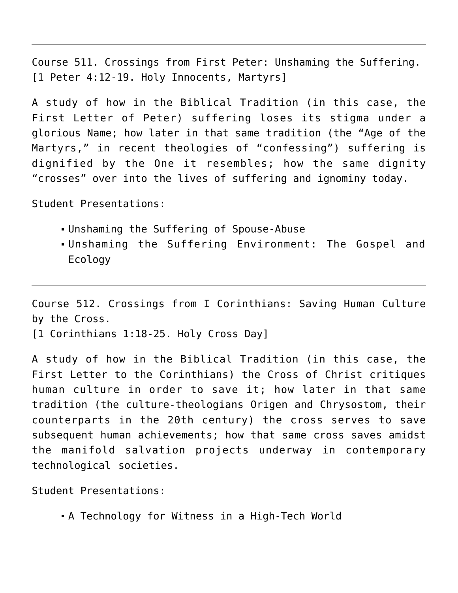Course 511. Crossings from First Peter: Unshaming the Suffering. [1 Peter 4:12-19. Holy Innocents, Martyrs]

A study of how in the Biblical Tradition (in this case, the First Letter of Peter) suffering loses its stigma under a glorious Name; how later in that same tradition (the "Age of the Martyrs," in recent theologies of "confessing") suffering is dignified by the One it resembles; how the same dignity "crosses" over into the lives of suffering and ignominy today.

Student Presentations:

- Unshaming the Suffering of Spouse-Abuse
- Unshaming the Suffering Environment: The Gospel and Ecology

Course 512. Crossings from I Corinthians: Saving Human Culture by the Cross.

[1 Corinthians 1:18-25. Holy Cross Day]

A study of how in the Biblical Tradition (in this case, the First Letter to the Corinthians) the Cross of Christ critiques human culture in order to save it; how later in that same tradition (the culture-theologians Origen and Chrysostom, their counterparts in the 20th century) the cross serves to save subsequent human achievements; how that same cross saves amidst the manifold salvation projects underway in contemporary technological societies.

Student Presentations:

A Technology for Witness in a High-Tech World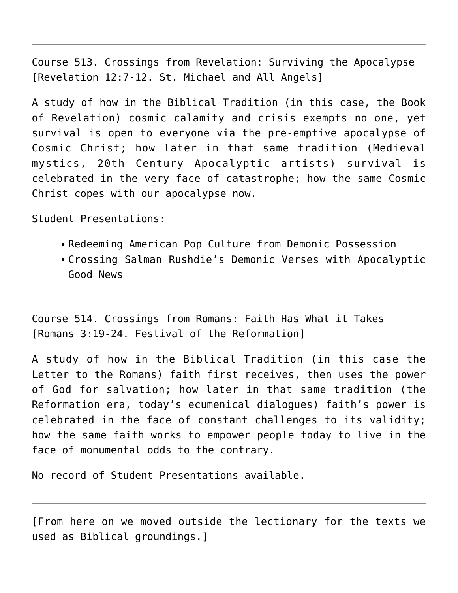Course 513. Crossings from Revelation: Surviving the Apocalypse [Revelation 12:7-12. St. Michael and All Angels]

A study of how in the Biblical Tradition (in this case, the Book of Revelation) cosmic calamity and crisis exempts no one, yet survival is open to everyone via the pre-emptive apocalypse of Cosmic Christ; how later in that same tradition (Medieval mystics, 20th Century Apocalyptic artists) survival is celebrated in the very face of catastrophe; how the same Cosmic Christ copes with our apocalypse now.

Student Presentations:

- Redeeming American Pop Culture from Demonic Possession
- Crossing Salman Rushdie's Demonic Verses with Apocalyptic Good News

Course 514. Crossings from Romans: Faith Has What it Takes [Romans 3:19-24. Festival of the Reformation]

A study of how in the Biblical Tradition (in this case the Letter to the Romans) faith first receives, then uses the power of God for salvation; how later in that same tradition (the Reformation era, today's ecumenical dialogues) faith's power is celebrated in the face of constant challenges to its validity; how the same faith works to empower people today to live in the face of monumental odds to the contrary.

No record of Student Presentations available.

[From here on we moved outside the lectionary for the texts we used as Biblical groundings.]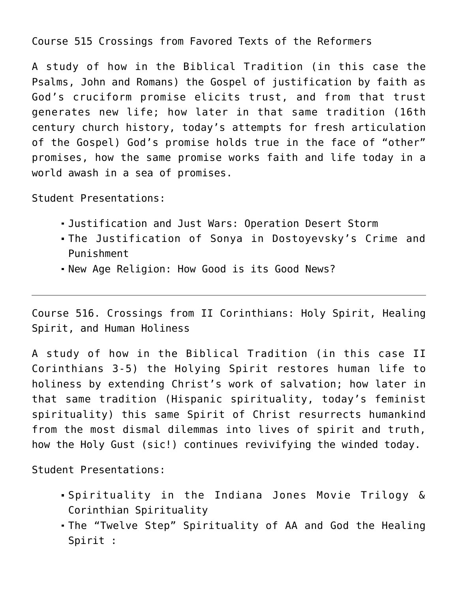Course 515 Crossings from Favored Texts of the Reformers

A study of how in the Biblical Tradition (in this case the Psalms, John and Romans) the Gospel of justification by faith as God's cruciform promise elicits trust, and from that trust generates new life; how later in that same tradition (16th century church history, today's attempts for fresh articulation of the Gospel) God's promise holds true in the face of "other" promises, how the same promise works faith and life today in a world awash in a sea of promises.

Student Presentations:

- Justification and Just Wars: Operation Desert Storm
- The Justification of Sonya in Dostoyevsky's Crime and Punishment
- New Age Religion: How Good is its Good News?

Course 516. Crossings from II Corinthians: Holy Spirit, Healing Spirit, and Human Holiness

A study of how in the Biblical Tradition (in this case II Corinthians 3-5) the Holying Spirit restores human life to holiness by extending Christ's work of salvation; how later in that same tradition (Hispanic spirituality, today's feminist spirituality) this same Spirit of Christ resurrects humankind from the most dismal dilemmas into lives of spirit and truth, how the Holy Gust (sic!) continues revivifying the winded today.

Student Presentations:

- Spirituality in the Indiana Jones Movie Trilogy & Corinthian Spirituality
- The "Twelve Step" Spirituality of AA and God the Healing Spirit :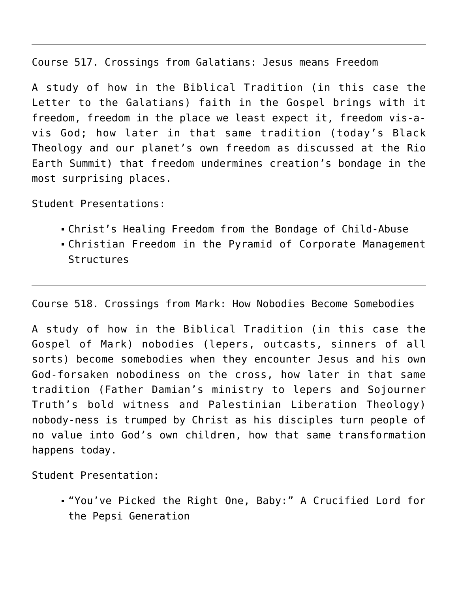Course 517. Crossings from Galatians: Jesus means Freedom

A study of how in the Biblical Tradition (in this case the Letter to the Galatians) faith in the Gospel brings with it freedom, freedom in the place we least expect it, freedom vis-avis God; how later in that same tradition (today's Black Theology and our planet's own freedom as discussed at the Rio Earth Summit) that freedom undermines creation's bondage in the most surprising places.

Student Presentations:

- Christ's Healing Freedom from the Bondage of Child-Abuse
- Christian Freedom in the Pyramid of Corporate Management **Structures**

Course 518. Crossings from Mark: How Nobodies Become Somebodies

A study of how in the Biblical Tradition (in this case the Gospel of Mark) nobodies (lepers, outcasts, sinners of all sorts) become somebodies when they encounter Jesus and his own God-forsaken nobodiness on the cross, how later in that same tradition (Father Damian's ministry to lepers and Sojourner Truth's bold witness and Palestinian Liberation Theology) nobody-ness is trumped by Christ as his disciples turn people of no value into God's own children, how that same transformation happens today.

Student Presentation:

"You've Picked the Right One, Baby:" A Crucified Lord for the Pepsi Generation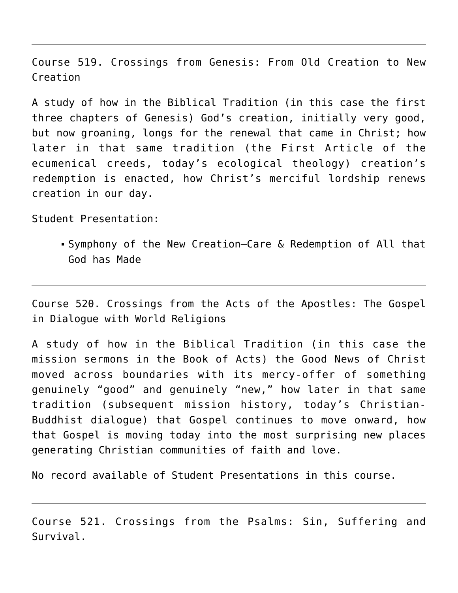Course 519. Crossings from Genesis: From Old Creation to New Creation

A study of how in the Biblical Tradition (in this case the first three chapters of Genesis) God's creation, initially very good, but now groaning, longs for the renewal that came in Christ; how later in that same tradition (the First Article of the ecumenical creeds, today's ecological theology) creation's redemption is enacted, how Christ's merciful lordship renews creation in our day.

Student Presentation:

Symphony of the New Creation–Care & Redemption of All that God has Made

Course 520. Crossings from the Acts of the Apostles: The Gospel in Dialogue with World Religions

A study of how in the Biblical Tradition (in this case the mission sermons in the Book of Acts) the Good News of Christ moved across boundaries with its mercy-offer of something genuinely "good" and genuinely "new," how later in that same tradition (subsequent mission history, today's Christian-Buddhist dialogue) that Gospel continues to move onward, how that Gospel is moving today into the most surprising new places generating Christian communities of faith and love.

No record available of Student Presentations in this course.

Course 521. Crossings from the Psalms: Sin, Suffering and Survival.